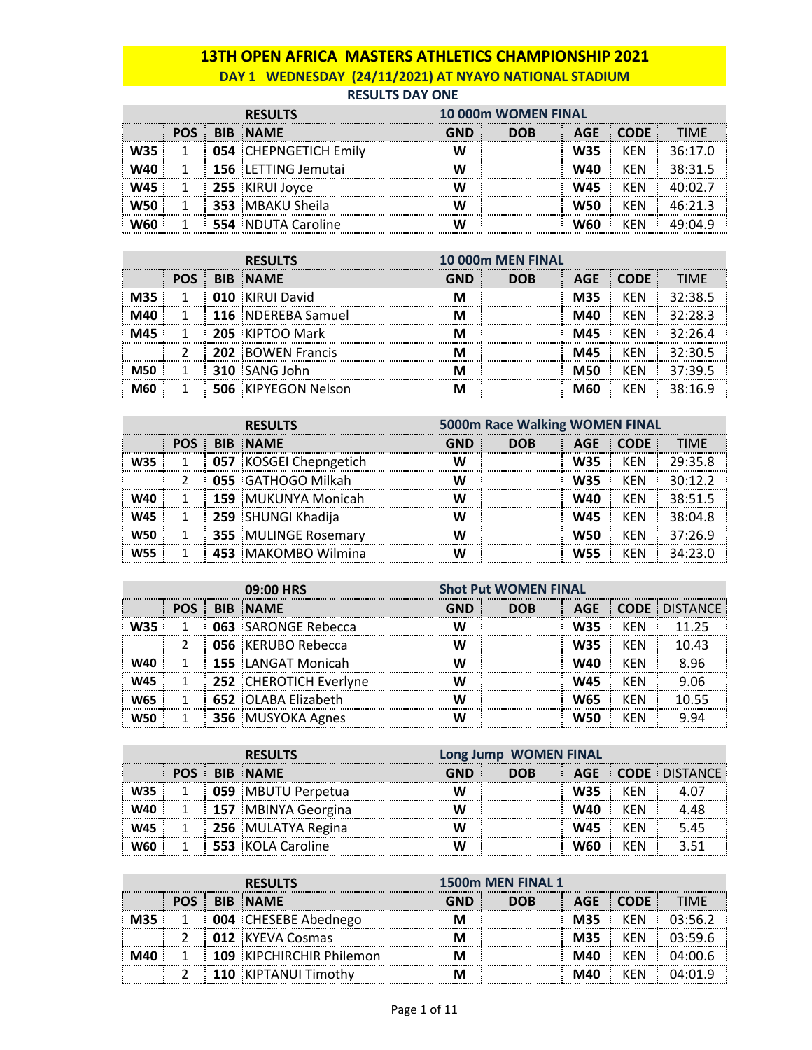## **13TH OPEN AFRICA MASTERS ATHLETICS CHAMPIONSHIP 2021 DAY 1 WEDNESDAY (24/11/2021) AT NYAYO NATIONAL STADIUM**

#### **RESULTS DAY ONE**

| <b>RESULTS</b> |  |                              | <b>10 000m WOMEN FINAL</b> |            |     |            |         |
|----------------|--|------------------------------|----------------------------|------------|-----|------------|---------|
| POS :          |  | <b>BIB NAME</b>              | GND                        | <b>DOB</b> | AGE | ⊟ CODE.    | TIMF    |
|                |  | <b>054 CHEPNGETICH Emily</b> |                            |            | W35 | <b>KFN</b> | 36·17 N |
|                |  | 156 LETTING Jemutai          |                            |            | W40 | <b>KFN</b> | 38.315  |
|                |  | 255 KIRUI Joyce              |                            |            | W45 | <b>KFN</b> |         |
|                |  | <b>353 MBAKU Sheila</b>      |                            |            | W50 | <b>KFN</b> | 46.21.3 |
|                |  | <b>554</b> NDUTA Caroline    |                            |            | W60 | <b>KFN</b> |         |

|            | <b>RESULTS</b> |  |                     | 10 000m MEN FINAL |            |            |             |                |
|------------|----------------|--|---------------------|-------------------|------------|------------|-------------|----------------|
|            | <b>POS</b>     |  | <b>BIB NAME</b>     | GND               | <b>DOB</b> | <b>AGE</b> | <b>CODE</b> | TIMF           |
| <b>M35</b> |                |  | 010 KIRUI David     |                   |            | <b>M35</b> | <b>KFN</b>  | 32:38.5        |
| M40        |                |  | 116 NDEREBA Samuel  |                   |            | M40        | <b>KFN</b>  | 32.283         |
| M45        |                |  | 205 KIPTOO Mark     |                   |            | M45        | KFN         | $32.26 \Delta$ |
|            |                |  | 202 BOWEN Francis   |                   |            | M45        | <b>KFN</b>  | 32:305         |
|            |                |  | 310 SANG John       |                   |            | <b>M50</b> | <b>KFN</b>  | 37.395         |
| M60        |                |  | 506 KIPYEGON Nelson |                   |            | M60        | KFN         | 38.169         |

|            |  | <b>RESULTS</b>              |                               | 5000m Race Walking WOMEN FINAL |            |            | <b>TIMF</b><br>29:35.8<br>30.12.2 |  |  |  |
|------------|--|-----------------------------|-------------------------------|--------------------------------|------------|------------|-----------------------------------|--|--|--|
|            |  | <b>POS BIB NAME</b>         | AGE CODE<br>GND<br><b>DOB</b> |                                |            |            |                                   |  |  |  |
| <b>W35</b> |  | 057 KOSGEI Chepngetich      |                               |                                | <b>W35</b> | KEN        |                                   |  |  |  |
|            |  | 055 GATHOGO Milkah          |                               |                                | <b>W35</b> | <b>KFN</b> |                                   |  |  |  |
| W40        |  | 159 MUKUNYA Monicah         |                               |                                | W40        | <b>KFN</b> | 38:51.5                           |  |  |  |
| <b>W45</b> |  | 259 SHUNGI Khadija          |                               |                                | W45        | KFN        | 38.04.8                           |  |  |  |
| W50        |  | <b>355 MULINGE Rosemary</b> |                               |                                | <b>W50</b> | <b>KEN</b> | 37:26.9                           |  |  |  |
| <b>W55</b> |  | 453 MAKOMBO Wilmina         |                               |                                | <b>W55</b> | <b>KFN</b> | 34.23 U                           |  |  |  |

|     | 09:00 HRS  |  |                            |     | <b>Shot Put WOMEN FINAL</b> |            |            |                      |
|-----|------------|--|----------------------------|-----|-----------------------------|------------|------------|----------------------|
|     | <b>POS</b> |  | <b>BIB NAME</b>            | GND | <b>DOB</b>                  | <b>AGE</b> |            | <b>CODE DISTANCE</b> |
|     |            |  | <b>063 SARONGE Rebecca</b> |     |                             | W35        | <b>KFN</b> | 11 25                |
|     |            |  | 056 KERUBO Rebecca         |     |                             | W35        | KFN        | 10.43                |
|     |            |  | <b>155 LANGAT Monicah</b>  |     |                             | W40        | KFN        | 8 96                 |
| W45 |            |  | 252 CHEROTICH Everlyne     |     |                             | W45        | KFN        | 9 N.S                |
|     |            |  | 652 OLABA Elizabeth        |     |                             |            | KFN        |                      |
|     |            |  | 356 MUSYOKA Agnes          |     |                             |            | KFN        |                      |

| <b>RESULTS</b> |  |                            |            | Long Jump WOMEN FINAL |            |            |                          |  |
|----------------|--|----------------------------|------------|-----------------------|------------|------------|--------------------------|--|
|                |  | <b>POS BIB NAME</b>        | <b>GND</b> | <b>DOB</b>            |            |            | <b>AGE CODE DISTANCE</b> |  |
|                |  | <b>OS9 MBUTU Perpetua</b>  | W          |                       | <b>W35</b> | KFN        |                          |  |
|                |  | <b>157 MBINYA Georgina</b> |            |                       | W40        | <b>KFN</b> |                          |  |
|                |  | <b>256 MULATYA Regina</b>  |            |                       | W45        | KFN        |                          |  |
|                |  | 553 KOLA Caroline          |            |                       | W60        | KFN        |                          |  |

| <b>RESULTS</b> |  |                          | 1500m MEN FINAL 1 |  |            |            |  |  |
|----------------|--|--------------------------|-------------------|--|------------|------------|--|--|
|                |  | <b>BIB NAME</b>          |                   |  |            | CODE :     |  |  |
|                |  | 004 CHESEBE Abednego     |                   |  | <b>M35</b> |            |  |  |
|                |  | <b>012</b> KYEVA Cosmas  |                   |  | <b>M35</b> | <b>KFN</b> |  |  |
|                |  | 109 KIPCHIRCHIR Philemon |                   |  | M40        | KFN        |  |  |
|                |  | 110 KIPTANUI Timothy     |                   |  | M40        | :FN        |  |  |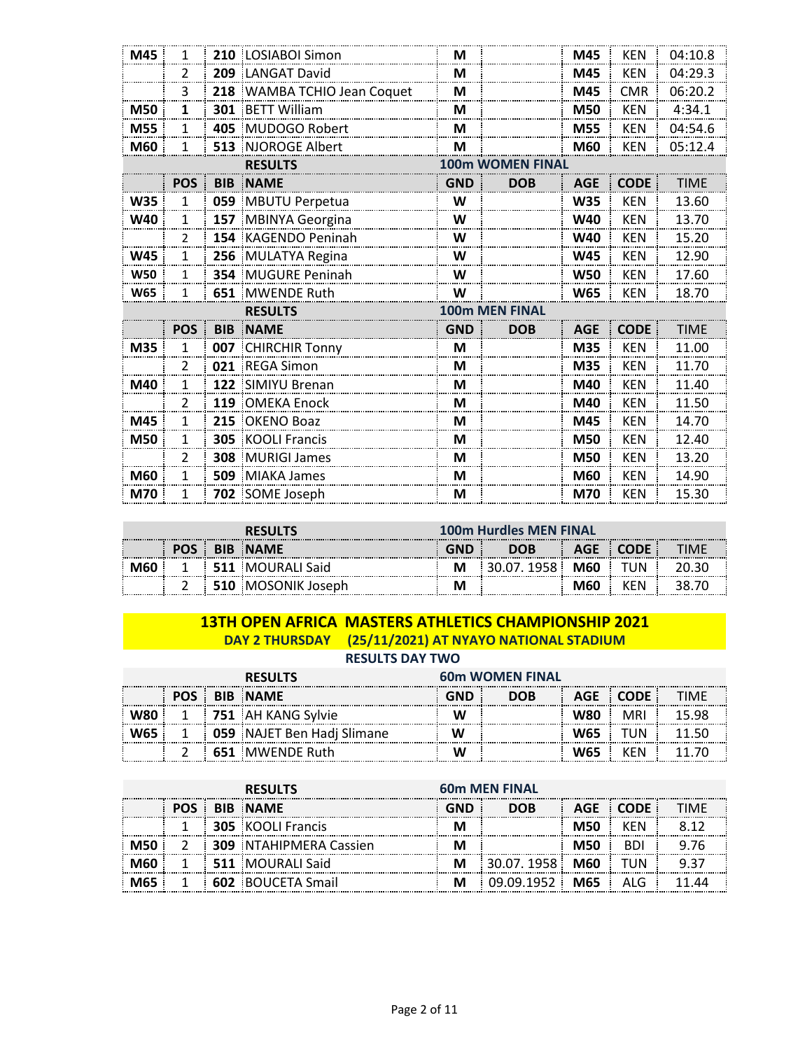| M45        | 1              |            | 210 LOSIABOI Simon        | M                     |                         | M45        | <b>KEN</b>  | 04:10.8     |  |  |
|------------|----------------|------------|---------------------------|-----------------------|-------------------------|------------|-------------|-------------|--|--|
|            | $\overline{2}$ |            | 209 LANGAT David          | M                     |                         | M45        | <b>KEN</b>  | 04:29.3     |  |  |
|            | 3              | 218        | WAMBA TCHIO Jean Coquet   | M                     |                         | M45        | <b>CMR</b>  | 06:20.2     |  |  |
| M50        | 1              | 301        | <b>BETT William</b>       | M                     |                         | M50        | <b>KEN</b>  | 4:34.1      |  |  |
| M55        | 1              |            | 405 MUDOGO Robert         | M                     |                         | M55        | <b>KEN</b>  | 04:54.6     |  |  |
| M60        | 1              |            | 513 NJOROGE Albert        | M                     |                         | M60        | <b>KEN</b>  | 05:12.4     |  |  |
|            |                |            | <b>RESULTS</b>            |                       | <b>100m WOMEN FINAL</b> |            |             |             |  |  |
|            | <b>POS</b>     | <b>BIB</b> | <b>NAME</b>               | <b>GND</b>            | <b>DOB</b>              | <b>AGE</b> | <b>CODE</b> | <b>TIME</b> |  |  |
| <b>W35</b> | 1              |            | 059 MBUTU Perpetua        | W                     |                         | <b>W35</b> | <b>KEN</b>  | 13.60       |  |  |
| W40        | $\mathbf{1}$   |            | 157 MBINYA Georgina       | W                     |                         | W40        | <b>KEN</b>  | 13.70       |  |  |
|            | $\mathcal{P}$  |            | 154 KAGENDO Peninah       | W                     |                         | <b>W40</b> | <b>KEN</b>  | 15.20       |  |  |
| <b>W45</b> | 1              |            | 256 MULATYA Regina        | W                     |                         | <b>W45</b> | <b>KEN</b>  | 12.90       |  |  |
| <b>W50</b> | 1              |            | <b>354 MUGURE Peninah</b> | W                     |                         | <b>W50</b> | <b>KEN</b>  | 17.60       |  |  |
| <b>W65</b> | 1              |            | 651 MWENDE Ruth           | W                     |                         | <b>W65</b> | <b>KEN</b>  | 18.70       |  |  |
|            |                |            | <b>RESULTS</b>            | <b>100m MEN FINAL</b> |                         |            |             |             |  |  |
|            | <b>POS</b>     |            | <b>BIB NAME</b>           | <b>GND</b>            | <b>DOB</b>              | <b>AGE</b> | <b>CODE</b> | <b>TIME</b> |  |  |
| M35        | 1              |            | 007 CHIRCHIR Tonny        | M                     |                         | M35        | <b>KEN</b>  | 11.00       |  |  |
|            | $\overline{2}$ | 021        | <b>REGA Simon</b>         | M                     |                         | M35        | <b>KEN</b>  | 11.70       |  |  |
| M40        | $\mathbf{1}$   |            | 122 SIMIYU Brenan         | M                     |                         | M40        | <b>KEN</b>  | 11.40       |  |  |
|            | $\overline{2}$ | 119        | OMEKA Enock               | M                     |                         | M40        | <b>KEN</b>  | 11.50       |  |  |
| M45        | 1              | 215        | <b>OKENO Boaz</b>         | M                     |                         | M45        | <b>KEN</b>  | 14.70       |  |  |
| <b>M50</b> | 1              | 305        | <b>KOOLI Francis</b>      | M                     |                         | M50        | <b>KEN</b>  | 12.40       |  |  |
|            | $\overline{2}$ | 308        | <b>MURIGI James</b>       | M                     |                         | M50        | <b>KEN</b>  | 13.20       |  |  |
| <b>M60</b> | 1              |            | <b>509</b> MIAKA James    | M                     |                         | M60        | <b>KEN</b>  | 14.90       |  |  |
| M70        | 1              |            | 702 SOME Joseph           | M                     |                         | M70        | <b>KEN</b>  | 15.30       |  |  |

|                   | RFSIII  |  |                    |            | <b>100m Hurdles MEN FINAL</b> |     |            |  |  |  |
|-------------------|---------|--|--------------------|------------|-------------------------------|-----|------------|--|--|--|
| ----------------- | $-$ POS |  | <b>BIB NAME</b>    | <b>GND</b> | <b>DOB</b>                    | AGE |            |  |  |  |
|                   |         |  | 511 MOURALI Said   | М          | 30.07.1958 M60                |     | TUN        |  |  |  |
|                   |         |  | 510 MOSONIK Joseph |            |                               | M60 | <b>KFN</b> |  |  |  |

### **13TH OPEN AFRICA MASTERS ATHLETICS CHAMPIONSHIP 2021 DAY 2 THURSDAY (25/11/2021) AT NYAYO NATIONAL STADIUM**

**RESULTS DAY TWO**

| <b>RESULTS</b> |  |                            | <b>60m WOMEN FINAL</b> |            |            |     |  |  |
|----------------|--|----------------------------|------------------------|------------|------------|-----|--|--|
|                |  | <b>POS BIB NAME</b>        | GND                    | <b>DOB</b> | <b>AGE</b> |     |  |  |
|                |  | 751 AH KANG Sylvie         |                        |            | W80        | MRI |  |  |
|                |  | 059 NAJET Ben Hadj Slimane | W                      |            | <b>W65</b> | UN  |  |  |
|                |  | 651 MWENDE Ruth            |                        |            |            |     |  |  |

| <b>RESULTS</b> |  |                               | <b>60m MEN FINAL</b> |            |            |        |      |  |
|----------------|--|-------------------------------|----------------------|------------|------------|--------|------|--|
|                |  | <b>BIB NAME</b>               | GND                  | <b>DOB</b> | <b>AGE</b> | CODE : | TIMF |  |
|                |  | <b>305 KOOLI Francis</b>      |                      |            | M50        |        |      |  |
|                |  | <b>309 NTAHIPMERA Cassien</b> |                      |            | M50        |        |      |  |
|                |  | <b>511 MOURALI Said</b>       |                      | 30.07.1958 | <b>M60</b> | TUN    |      |  |
|                |  | <b>602 BOUCETA Smail</b>      |                      | 09 09 1952 | M65        |        |      |  |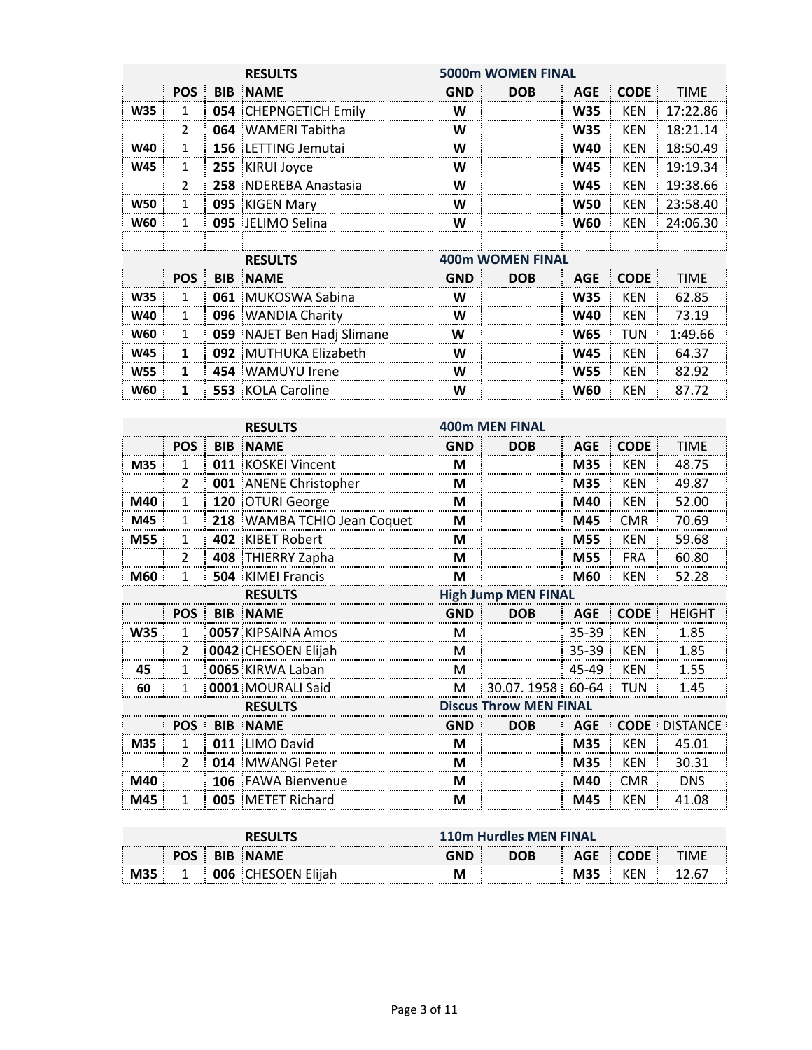|            |               |            | <b>RESULTS</b>               | <b>5000m WOMEN FINAL</b> |                         |                                                                                                                                                                                                                              |             |             |  |
|------------|---------------|------------|------------------------------|--------------------------|-------------------------|------------------------------------------------------------------------------------------------------------------------------------------------------------------------------------------------------------------------------|-------------|-------------|--|
|            | <b>POS</b>    |            | <b>BIB NAME</b>              | <b>GND</b>               | <b>DOB</b>              | <b>AGE</b>                                                                                                                                                                                                                   | <b>CODE</b> | <b>TIME</b> |  |
| <b>W35</b> | 1             |            | <b>054 CHEPNGETICH Emily</b> | W                        |                         | <b>W35</b>                                                                                                                                                                                                                   | <b>KEN</b>  | 17:22.86    |  |
|            | 2             |            | 064 WAMERI Tabitha           | W                        |                         | <b>W35</b>                                                                                                                                                                                                                   | <b>KEN</b>  | 18:21.14    |  |
| <b>W40</b> | 1             |            | 156 LETTING Jemutai          | W                        |                         | <b>W40</b>                                                                                                                                                                                                                   | <b>KEN</b>  | 18:50.49    |  |
| <b>W45</b> | 1             |            | 255 KIRUI Joyce              | W                        |                         | <b>W45</b>                                                                                                                                                                                                                   | <b>KEN</b>  | 19:19.34    |  |
|            | $\mathcal{P}$ |            | 258 NDEREBA Anastasia        | W                        |                         | <b>W45</b>                                                                                                                                                                                                                   | <b>KEN</b>  | 19:38.66    |  |
| <b>W50</b> | 1             |            | 095 KIGEN Mary               | W                        |                         | <b>W50</b>                                                                                                                                                                                                                   | <b>KEN</b>  | 23:58.40    |  |
| <b>W60</b> | 1             |            | 095 JELIMO Selina            | W                        |                         | <b>W60</b>                                                                                                                                                                                                                   | <b>KEN</b>  | 24:06.30    |  |
|            |               |            |                              |                          |                         |                                                                                                                                                                                                                              |             |             |  |
|            |               |            | <b>RESULTS</b>               |                          | <b>400m WOMEN FINAL</b> | <b>CODE</b><br><b>TIME</b><br><b>AGE</b><br><b>W35</b><br><b>KEN</b><br>62.85<br>73.19<br><b>KEN</b><br><b>W40</b><br><b>W65</b><br>TUN<br>1:49.66<br><b>W45</b><br><b>KEN</b><br>64.37<br>82.92<br><b>KEN</b><br><b>W55</b> |             |             |  |
|            | <b>POS</b>    | <b>BIB</b> | <b>NAME</b>                  | <b>GND</b>               | <b>DOB</b>              |                                                                                                                                                                                                                              |             |             |  |
| <b>W35</b> | 1             |            | <b>061 MUKOSWA Sabina</b>    | W                        |                         |                                                                                                                                                                                                                              |             |             |  |
| <b>W40</b> | 1             |            | 096 WANDIA Charity           | W                        |                         |                                                                                                                                                                                                                              |             |             |  |
| <b>W60</b> | $\mathbf{1}$  |            | 059 NAJET Ben Hadj Slimane   | W                        |                         |                                                                                                                                                                                                                              |             |             |  |
| <b>W45</b> | $\mathbf{1}$  |            | 092 MUTHUKA Elizabeth        | W                        |                         |                                                                                                                                                                                                                              |             |             |  |
| <b>W55</b> | 1             |            | 454 WAMUYU Irene             | W                        |                         |                                                                                                                                                                                                                              |             |             |  |
| <b>W60</b> |               |            | <b>553 KOLA Caroline</b>     | W                        |                         | <b>W60</b>                                                                                                                                                                                                                   | <b>KEN</b>  | 87.72       |  |

|            |                |     | <b>RESULTS</b>              |            | <b>400m MEN FINAL</b>         |            |                                                                                                                                                                                                                                  |             |  |
|------------|----------------|-----|-----------------------------|------------|-------------------------------|------------|----------------------------------------------------------------------------------------------------------------------------------------------------------------------------------------------------------------------------------|-------------|--|
|            | <b>POS</b>     |     | <b>BIB NAME</b>             | <b>GND</b> | <b>DOB</b>                    | <b>AGE</b> | <b>CODE</b>                                                                                                                                                                                                                      | <b>TIME</b> |  |
| M35        | 1              | 011 | <b>KOSKEI Vincent</b>       | М          |                               | M35        | <b>KEN</b>                                                                                                                                                                                                                       | 48.75       |  |
|            | 2              |     | 001 ANENE Christopher       | М          |                               | M35        | <b>KEN</b>                                                                                                                                                                                                                       | 49.87       |  |
| M40        | 1              |     | 120 OTURI George            | М          |                               | M40        | <b>KEN</b>                                                                                                                                                                                                                       | 52.00       |  |
| M45        | 1              |     | 218 WAMBA TCHIO Jean Coquet | M          |                               | M45        | <b>CMR</b>                                                                                                                                                                                                                       | 70.69       |  |
| M55        | 1              |     | 402 KIBET Robert            | M          |                               | M55        | <b>KEN</b>                                                                                                                                                                                                                       | 59.68       |  |
|            | 2              |     | 408 THIERRY Zapha           | М          |                               | M55        | <b>FRA</b>                                                                                                                                                                                                                       | 60.80       |  |
| M60        | 1              |     | <b>504 KIMEI Francis</b>    | M          |                               | <b>M60</b> | <b>KEN</b>                                                                                                                                                                                                                       | 52.28       |  |
|            | <b>RESULTS</b> |     |                             |            | <b>High Jump MEN FINAL</b>    |            | <b>CODE</b><br><b>HEIGHT</b><br><b>KEN</b><br>1.85<br><b>KEN</b><br>1.85<br><b>KEN</b><br>1.55<br><b>TUN</b><br>1.45<br><b>CODE</b><br><b>DISTANCE</b><br><b>KEN</b><br>45.01<br><b>KEN</b><br>30.31<br><b>CMR</b><br><b>DNS</b> |             |  |
|            | <b>POS</b>     |     | <b>BIB NAME</b>             | <b>GND</b> | <b>DOB</b>                    | <b>AGE</b> |                                                                                                                                                                                                                                  |             |  |
| <b>W35</b> | 1              |     | <b>0057 KIPSAINA Amos</b>   | M          |                               | 35-39      |                                                                                                                                                                                                                                  |             |  |
|            | $\mathcal{P}$  |     | 0042 CHESOEN Elijah         | M          |                               | $35 - 39$  |                                                                                                                                                                                                                                  |             |  |
| 45         | 1              |     | 0065 KIRWA Laban            | M          |                               | 45-49      |                                                                                                                                                                                                                                  |             |  |
| 60         |                |     | 0001 MOURALI Said           | M          | 30.07.1958 60-64              |            |                                                                                                                                                                                                                                  |             |  |
|            |                |     | <b>RESULTS</b>              |            | <b>Discus Throw MEN FINAL</b> |            |                                                                                                                                                                                                                                  |             |  |
|            | <b>POS</b>     |     | <b>BIB NAME</b>             | <b>GND</b> | <b>DOB</b>                    | <b>AGE</b> |                                                                                                                                                                                                                                  |             |  |
| M35        | 1              |     | 011 LIMO David              | М          |                               | M35        |                                                                                                                                                                                                                                  |             |  |
|            | $\overline{2}$ | 014 | MWANGI Peter                | М          |                               | M35        |                                                                                                                                                                                                                                  |             |  |
| M40        |                |     | 106 FAWA Bienvenue          | М          |                               | M40        |                                                                                                                                                                                                                                  |             |  |
| M45        | 1              |     | <b>005 METET Richard</b>    | М          |                               | M45        | <b>KEN</b>                                                                                                                                                                                                                       | 41.08       |  |

|                                          | <b>RESULTS</b> |  |                           |            | <b>110m Hurdles MEN FINAL</b> |            |           |  |  |  |  |
|------------------------------------------|----------------|--|---------------------------|------------|-------------------------------|------------|-----------|--|--|--|--|
| <b>POS BIB NAME</b><br>----------------- |                |  |                           | <b>GND</b> | <b>DOB</b>                    |            | AGE CODE: |  |  |  |  |
|                                          |                |  | <b>006 CHESOEN Elijah</b> |            |                               | <b>M35</b> | KEN       |  |  |  |  |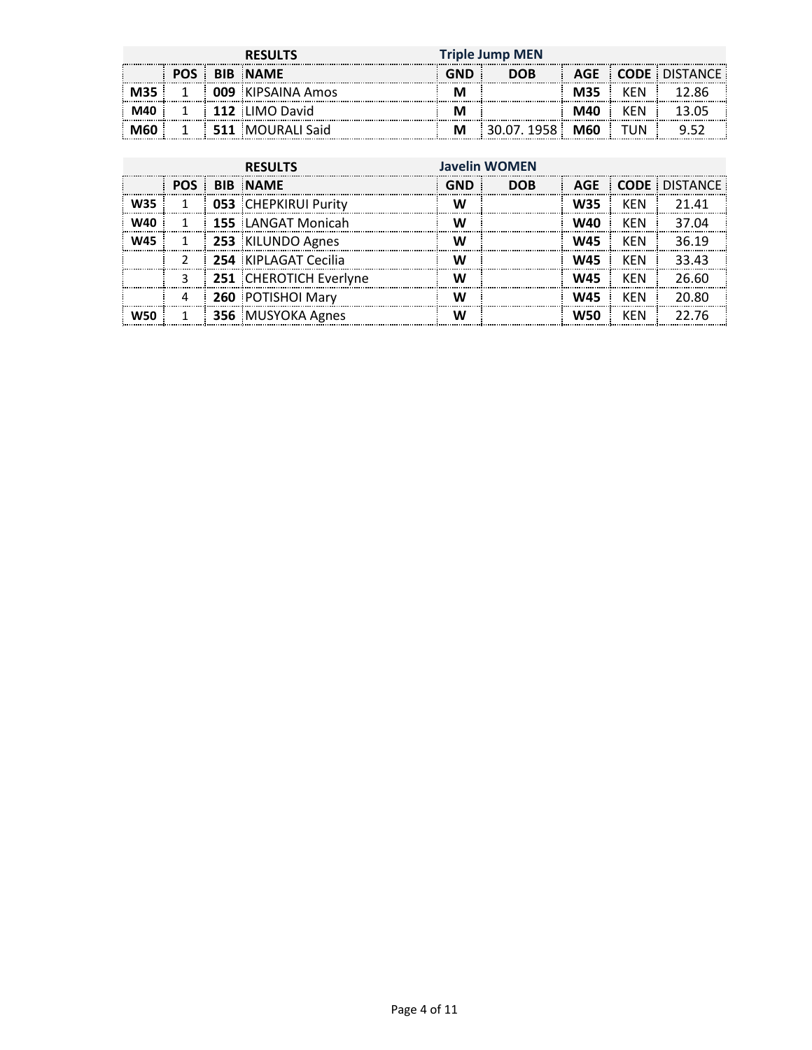|                   | <b>RESULTS</b> |   |                             |   | <b>Triple Jump MEN</b>     |                           |            |                                |  |  |
|-------------------|----------------|---|-----------------------------|---|----------------------------|---------------------------|------------|--------------------------------|--|--|
| ----------------- |                | . | <b>BIB NAME</b>             |   | <b>DOB</b><br>------------ |                           |            | AGE CODE DISTANCE<br>--------- |  |  |
|                   |                |   | 009 KIPSAINA Amos           |   |                            | M35<br>------------------ | KFN<br>.   |                                |  |  |
|                   |                | . | 112 LIMO David              |   |                            | M40                       | <b>KFN</b> |                                |  |  |
|                   |                |   | <b>511 MOURALI Said</b> 511 | М |                            | M60                       | ΊJΝ        |                                |  |  |

|            | <b>RESULTS</b> |  |                             | <b>Javelin WOMEN</b> |            |            |            |                   |
|------------|----------------|--|-----------------------------|----------------------|------------|------------|------------|-------------------|
|            | POS            |  | <b>BIB NAME</b>             | GND                  | <b>DOB</b> |            |            | AGE CODE DISTANCE |
| <b>W35</b> |                |  | <b>053 CHEPKIRUI Purity</b> |                      |            | <b>W35</b> | <b>KFN</b> | 21 41             |
| W40        |                |  | <b>155 LANGAT Monicah</b>   |                      |            | W40        | KFN        | 37 N4             |
| W45        |                |  | 253 KILUNDO Agnes           | w                    |            | W45        | <b>KFN</b> | 36 19             |
|            |                |  | 254 KIPLAGAT Cecilia        |                      |            | <b>W45</b> | <b>KFN</b> | 33 43             |
|            | ર              |  | 251 CHEROTICH Everlyne      | ۱۸.                  |            | <b>W45</b> | <b>KFN</b> | 26.60             |
|            | 4              |  | 260 POTISHOI Mary           |                      |            | <b>W45</b> | <b>KFN</b> | 20.80             |
|            |                |  | 356 MUSYOKA Agnes           |                      |            | wso        | KFN        | 22 76             |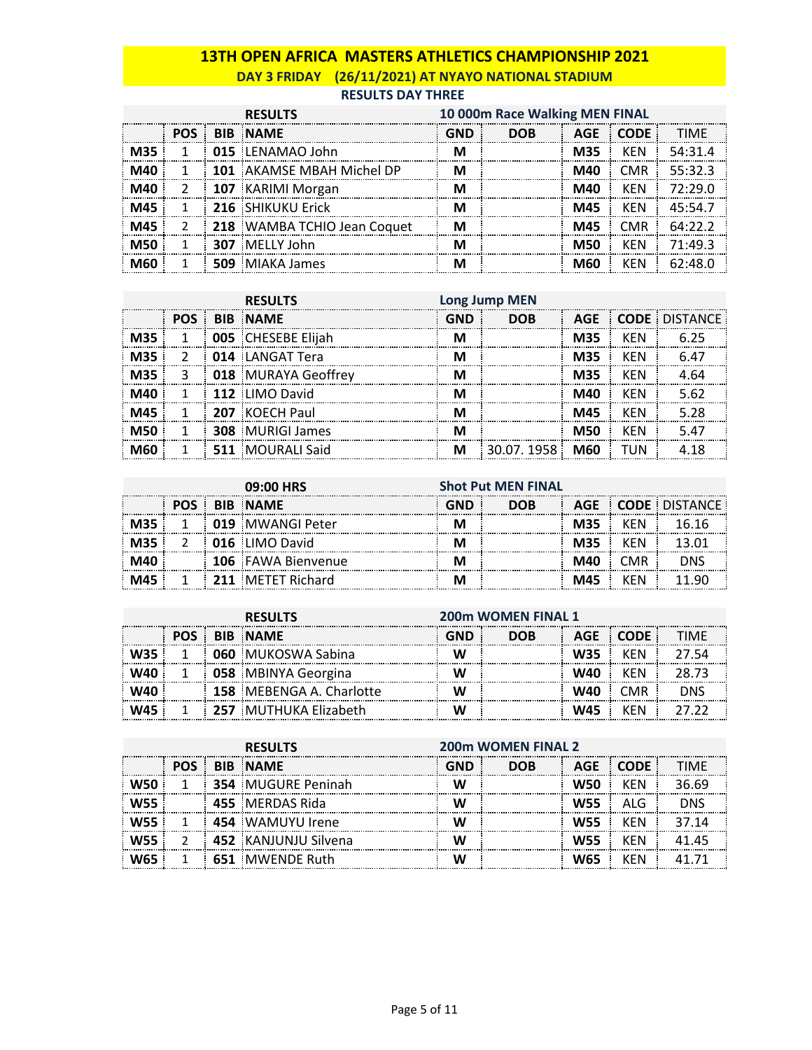# **13TH OPEN AFRICA MASTERS ATHLETICS CHAMPIONSHIP 2021 DAY 3 FRIDAY (26/11/2021) AT NYAYO NATIONAL STADIUM**

#### **RESULTS DAY THREE**

|            |            | <b>RESULTS</b>              | 10 000m Race Walking MEN FINAL |            |            |             |             |
|------------|------------|-----------------------------|--------------------------------|------------|------------|-------------|-------------|
|            | <b>POS</b> | <b>BIB NAME</b>             | <b>GND</b>                     | <b>DOB</b> | <b>AGE</b> | <b>CODE</b> | <b>TIMF</b> |
| M35        |            | 015 LENAMAO John            | м                              |            | M35        | <b>KFN</b>  | 54:31.4     |
| M40        |            | 101 AKAMSE MBAH Michel DP   | м                              |            | M40        | <b>CMR</b>  | 55:32.3     |
| M40        |            | 107 KARIMI Morgan           | м                              |            | M40        | KFN         | 72.290      |
| M45        |            | 216 SHIKUKU Erick           | м                              |            | M45        | <b>KEN</b>  | 45:54.7     |
| M45        |            | 218 WAMBA TCHIO Jean Coquet | м                              |            | M45        | <b>CMR</b>  | 64:22.2     |
| <b>M50</b> |            | 307 MELLY John              |                                |            | M50        | KFN         | 71.493      |
| M60        |            | 509 MIAKA James             |                                |            | M60        | KFN         | 62.48n      |

|     | <b>RESULTS</b> |  |                           | <b>Long Jump MEN</b> |            |            |            |                   |
|-----|----------------|--|---------------------------|----------------------|------------|------------|------------|-------------------|
|     | <b>POS</b>     |  | <b>BIB NAME</b>           | GND                  | <b>DOB</b> |            |            | AGE CODE DISTANCE |
| M35 |                |  | <b>005 CHESEBE Elijah</b> |                      |            | M35        | <b>KFN</b> | 6 25              |
| M35 |                |  | 014 LANGAT Tera           |                      |            | M35        | <b>KFN</b> |                   |
| M35 | 3              |  | 018 MURAYA Geoffrey       |                      |            | <b>M35</b> | KFN        | 4 R.A             |
|     |                |  | 112 LIMO David            |                      |            | M40        | KFN        | 5.62              |
|     |                |  | 207 KOECH Paul            |                      |            | M45        | <b>KFN</b> | 528               |
| M50 |                |  | <b>308 MURIGI James</b>   |                      |            | <b>M50</b> | KFN        | 5.47              |
| MAN |                |  | 511 MOURALI Said          | м                    | 30.07.1958 | <b>M60</b> | TUN        | 41 R              |

| 09:00 HRS |  |                           | <b>Shot Put MEN FINAL</b> |            |     |     |                   |  |
|-----------|--|---------------------------|---------------------------|------------|-----|-----|-------------------|--|
|           |  | <b>POS BIB NAME</b>       |                           | <b>DOB</b> |     |     | AGE CODE DISTANCE |  |
|           |  | 019 MWANGI Peter          |                           |            | M35 |     |                   |  |
|           |  | <b>016 LIMO David</b>     |                           |            | M35 | KFN |                   |  |
|           |  | <b>106</b> FAWA Bienvenue |                           |            | M40 | CMR |                   |  |
|           |  | 211 MFTFT Richard         |                           |            | M45 | 'FN |                   |  |

| <b>RESULTS</b> |  |                                 |     | <b>200m WOMEN FINAL 1</b> |            |            |       |  |  |
|----------------|--|---------------------------------|-----|---------------------------|------------|------------|-------|--|--|
| <b>POS</b>     |  | <b>BIB NAME</b>                 | GND | <b>DOB</b>                |            | AGE CODE:  |       |  |  |
|                |  | <b>060 MUKOSWA Sabina</b>       |     |                           | <b>W35</b> | KFN        |       |  |  |
|                |  | 058 MBINYA Georgina             |     |                           | W40        | KFN        | 28 73 |  |  |
|                |  | <b>158 MEBENGA A. Charlotte</b> |     |                           | W40        | <b>CMR</b> |       |  |  |
|                |  | <b>257 MUTHUKA Elizabeth</b>    |     |                           | W45        | KFN        |       |  |  |

|     | <b>RESULTS</b> |  |                           | <b>200m WOMEN FINAL 2</b> |            |            |             |             |
|-----|----------------|--|---------------------------|---------------------------|------------|------------|-------------|-------------|
|     | POS <b>F</b>   |  | <b>BIB NAME</b>           | <b>GND</b>                | <b>DOB</b> | AGE        | <b>CODE</b> | <b>TIMF</b> |
|     |                |  | <b>354 MUGURE Peninah</b> |                           |            | W50        | KFN         | 36.69       |
|     |                |  | 455 MERDAS Rida           |                           |            | <b>W55</b> | ALG         | nns         |
|     |                |  | 454 WAMUYU Irene          |                           |            | <b>W55</b> | KFN         | 37.14       |
| W55 |                |  | 452 KANJUNJU Silvena      |                           |            | <b>W55</b> | <b>KFN</b>  |             |
|     |                |  | 651 MWENDE Ruth           |                           |            | W65        | KFN         |             |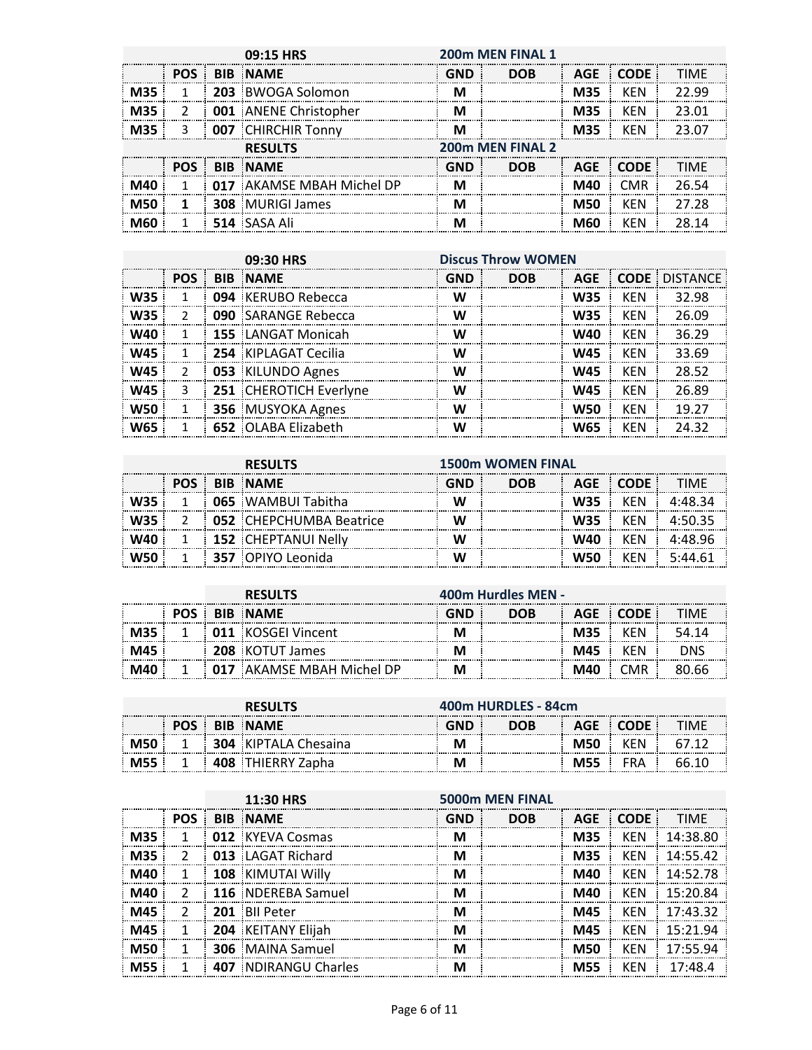|            |               | 09:15 HRS                    | 200m MEN FINAL 1 |                  |            |             |             |  |  |
|------------|---------------|------------------------------|------------------|------------------|------------|-------------|-------------|--|--|
|            | <b>POS</b>    | <b>BIB NAME</b>              | <b>GND</b>       | <b>DOB</b>       | <b>AGE</b> | <b>CODE</b> | <b>TIMF</b> |  |  |
| M35        |               | 203 BWOGA Solomon            | м                |                  | <b>M35</b> | KEN         | 22.99       |  |  |
| <b>M35</b> | $\mathcal{L}$ | <b>001</b> ANENE Christopher | м                |                  | M35        | KEN         | 23.01       |  |  |
| <b>M35</b> | 3             | 007 CHIRCHIR Tonny           | м                |                  | M35        | <b>KEN</b>  | 23.07       |  |  |
|            |               | <b>RESULTS</b>               |                  | 200m MEN FINAL 2 |            |             |             |  |  |
|            | POS :         | <b>BIB NAME</b>              | <b>GND</b>       | <b>DOB</b>       | <b>AGE</b> | CODE :      | <b>TIMF</b> |  |  |
| M40        |               | 017 AKAMSE MBAH Michel DP    | м                |                  | M40        | <b>CMR</b>  | 26.54       |  |  |
| <b>M50</b> | 1             | <b>308 MURIGI James</b>      | м                |                  | M50        | KFN         | 27 28       |  |  |
| M60        |               | 514 SASA Ali                 |                  |                  | M60        | KFN         | 28.14       |  |  |

|            |               | 09:30 HRS                  | <b>Discus Throw WOMEN</b> |            |            |            |                      |
|------------|---------------|----------------------------|---------------------------|------------|------------|------------|----------------------|
|            | POS <b>F</b>  | <b>BIB NAME</b>            | <b>GND</b>                | <b>DOB</b> | <b>AGE</b> |            | <b>CODE DISTANCE</b> |
| <b>W35</b> |               | 094 KERUBO Rebecca         | W                         |            | <b>W35</b> | KFN        | 32.98                |
| <b>W35</b> | $\mathcal{P}$ | <b>090</b> SARANGE Rebecca | w                         |            | <b>W35</b> | KEN        | 26.09                |
| W40        |               | 155 LANGAT Monicah         | w                         |            | <b>W40</b> | KEN        | 36.29                |
| <b>W45</b> |               | 254 KIPLAGAT Cecilia       | w                         |            | <b>W45</b> | <b>KEN</b> | 33.69                |
| <b>W45</b> | $\mathcal{P}$ | 053 KILUNDO Agnes          | w                         |            | <b>W45</b> | <b>KEN</b> | 28.52                |
| <b>W45</b> | 3             | 251 CHEROTICH Everlyne     | W                         |            | <b>W45</b> | KEN        | 26.89                |
| <b>W50</b> |               | 356 MUSYOKA Agnes          | w                         |            | <b>W50</b> | <b>KEN</b> | 19.27                |
| W65        |               | 652 OLABA Elizabeth        | w                         |            | <b>W65</b> | KEN        | 24.32                |

|  | <b>RESULTS</b>                 | <b>1500m WOMEN FINAL</b> |            |            |            |        |  |
|--|--------------------------------|--------------------------|------------|------------|------------|--------|--|
|  | <b>BIB NAME</b>                | GND                      | <b>DOB</b> | AGE        | : CODE     | TIMF   |  |
|  | <b>065</b> WAMBUI Tabitha      |                          |            | <b>W35</b> | <b>KFN</b> |        |  |
|  | <b>052 CHEPCHUMBA Beatrice</b> |                          |            | <b>W35</b> | <b>KFN</b> |        |  |
|  | <b>152 CHEPTANUI Nelly</b>     |                          |            | W40        | <b>KFN</b> |        |  |
|  | 357 OPIYO Leonida              |                          |            | W50        | <b>KFN</b> | 5.4461 |  |

| <b>RESULTS</b> |  |  | 400m Hurdles MEN -        |     |            |            |        |       |
|----------------|--|--|---------------------------|-----|------------|------------|--------|-------|
|                |  |  | <b>BIB NAME</b>           | GND | <b>DOB</b> | <b>AGE</b> | - CODE | TIMF  |
|                |  |  | <b>011 KOSGEI Vincent</b> |     |            | <b>M35</b> | KFN    | 54.14 |
|                |  |  | <b>208 KOTUT James</b>    |     |            | M45        | KFN    |       |
|                |  |  | 017 AKAMSE MBAH Michel DP | IV  |            |            | `MR    |       |

| <b>RESULT.</b>             |                 |  |                             | 400m HURDLES - 84cm |                |            |                    |  |  |
|----------------------------|-----------------|--|-----------------------------|---------------------|----------------|------------|--------------------|--|--|
|                            | <b>BIB NAME</b> |  |                             |                     | <b>DOB</b><br> | <b>AGE</b> | ------------------ |  |  |
| -------------------------- |                 |  | <b>304 KIPTALA Chesaina</b> | M                   |                | M50        | KFN                |  |  |
|                            |                 |  | : THIERRY Zapha             |                     |                | M55        | FRA                |  |  |

|            |               | 11:30 HRS                   |     | 5000m MEN FINAL |            |             |              |
|------------|---------------|-----------------------------|-----|-----------------|------------|-------------|--------------|
|            | POS :         | <b>BIB NAME</b>             | GND | <b>DOB</b>      | <b>AGE</b> | <b>CODE</b> | <b>TIMF</b>  |
| <b>M35</b> |               | 012 KYEVA Cosmas            | м   |                 | <b>M35</b> | KEN         | 14:38.80     |
| M35        | 2             | 013 LAGAT Richard           | м   |                 | M35        | KFN         | 14:55.42     |
| M40        | 1             | 108 KIMUTAI Willy           |     |                 | M40        | <b>KFN</b>  | 14:52.78     |
| M40        | $\mathcal{P}$ | 116 NDEREBA Samuel          |     |                 | M40        | KFN         | 15:20.84     |
| M45        | $\mathcal{P}$ | 201 Bil Peter               |     |                 | M45        | <b>KFN</b>  | 17:43.32     |
| M45        |               | 204 KEITANY Elijah          | м   |                 | M45        | <b>KFN</b>  | 15.21.94     |
| M50        |               | <b>306</b> MAINA Samuel     | м   |                 | M50        | KFN         | 17.5594      |
| <b>M55</b> |               | <b>407 NDIRANGU Charles</b> |     |                 | <b>M55</b> | <b>KFN</b>  | $17.48 \; 4$ |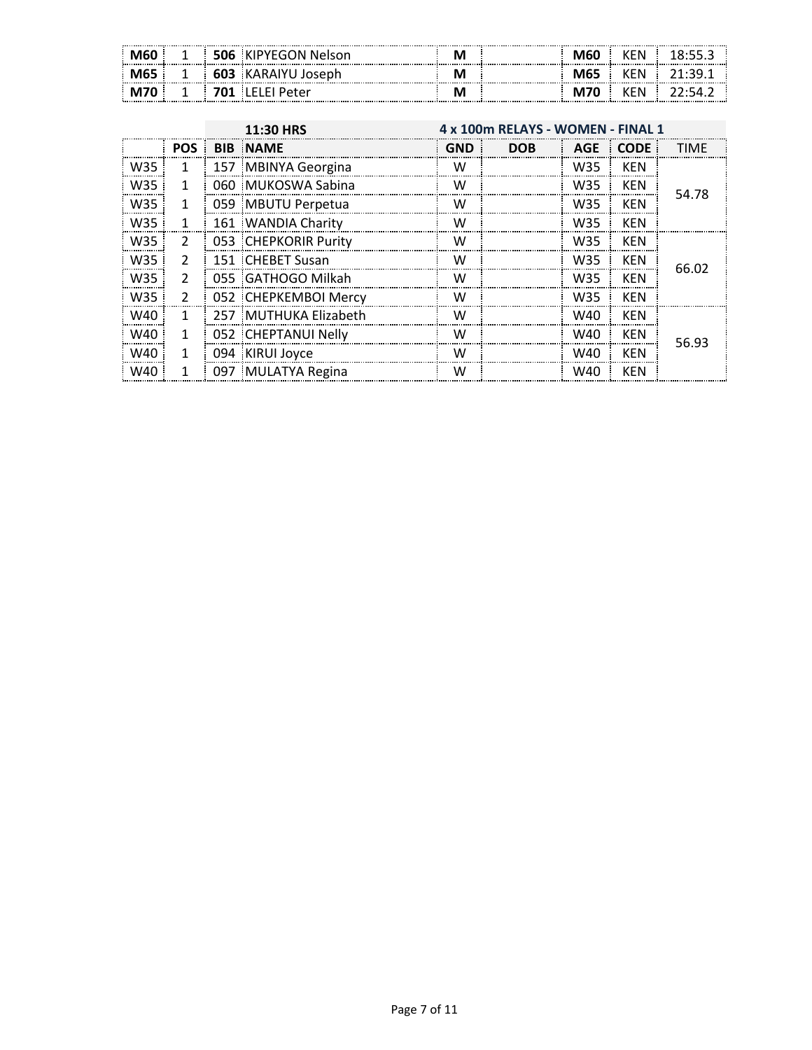| ----------------------------------<br>M60<br>,,,,,,,,,,,,,,,,,,,,,,,,,,,,,,,,,,,,, | 506 | ⊦ KIPYEGON Nelson               | ---------- | <b>M60</b> | KEN |  |
|------------------------------------------------------------------------------------|-----|---------------------------------|------------|------------|-----|--|
| M65 M<br>---------------------                                                     |     | 603 :KARAIYU .<br><b>Joseph</b> |            | M65        | KEN |  |
|                                                                                    | 701 | i LELEI Peter                   |            | M70        | KEN |  |

|                 |                | 4 x 100m RELAYS - WOMEN - FINAL 1<br>11:30 HRS |     |            |     |             |             |
|-----------------|----------------|------------------------------------------------|-----|------------|-----|-------------|-------------|
|                 | <b>POS</b>     | <b>BIB NAME</b>                                | GND | <b>DOB</b> | AGE | <b>CODE</b> | <b>TIME</b> |
| W35             | 1              | 157 MBINYA Georgina                            | w   |            | W35 | <b>KEN</b>  |             |
| W <sub>35</sub> | 1              | 060 MUKOSWA Sabina                             | w   |            | W35 | KEN         | 54.78       |
| W35             | 1              | 059 MBUTU Perpetua                             | w   |            | W35 | KEN         |             |
| W35             | 1              | 161 WANDIA Charity                             | w   |            | W35 | KEN         |             |
| W35             | $\overline{2}$ | 053 CHEPKORIR Purity                           | W   |            | W35 | KEN         |             |
| W35             | $\mathcal{L}$  | 151 CHEBET Susan                               | w   |            | W35 | <b>KEN</b>  | 66.02       |
| W35             | $\mathcal{P}$  | 055 GATHOGO Milkah                             | w   |            | W35 | KEN         |             |
| W35             | $\mathfrak{p}$ | 052 CHEPKEMBOI Mercy                           | W   |            | W35 | <b>KFN</b>  |             |
| W40             | 1              | 257 MUTHUKA Elizabeth                          | w   |            | W40 | KEN         |             |
| W40             | 1              | 052 CHEPTANUI Nelly                            | w   |            | W40 | <b>KEN</b>  | 56.93       |
| W40             | 1              | 094 KIRUI Joyce                                | w   |            | W40 | <b>KEN</b>  |             |
| W40             |                | 097 MULATYA Regina                             | w   |            | W40 | <b>KEN</b>  |             |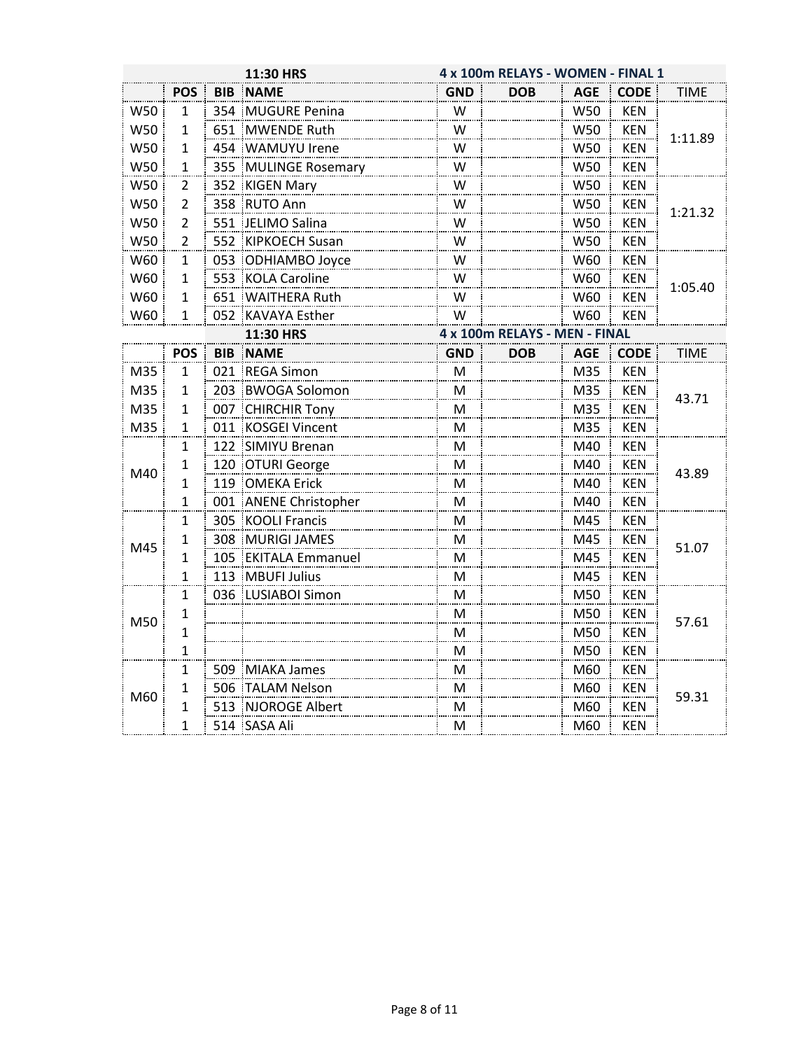|     |                |            | 11:30 HRS             |            | 4 x 100m RELAYS - WOMEN - FINAL 1 |            |             |             |  |  |  |
|-----|----------------|------------|-----------------------|------------|-----------------------------------|------------|-------------|-------------|--|--|--|
|     | <b>POS</b>     | <b>BIB</b> | <b>NAME</b>           | <b>GND</b> | DOB                               | <b>AGE</b> | <b>CODE</b> | TIME        |  |  |  |
| W50 | 1              |            | 354 MUGURE Penina     | W          |                                   | W50        | <b>KEN</b>  |             |  |  |  |
| W50 | 1              |            | 651 MWENDE Ruth       | W          |                                   | W50        | <b>KEN</b>  |             |  |  |  |
| W50 | 1              |            | 454 WAMUYU Irene      | W          |                                   | W50        | <b>KEN</b>  | 1:11.89     |  |  |  |
| W50 | $\mathbf{1}$   |            | 355 MULINGE Rosemary  | W          |                                   | W50        | <b>KEN</b>  |             |  |  |  |
| W50 | $\overline{2}$ |            | 352 KIGEN Mary        | W          |                                   | W50        | <b>KEN</b>  |             |  |  |  |
| W50 | $\overline{2}$ |            | 358 RUTO Ann          | W          |                                   | W50        | <b>KEN</b>  | 1:21.32     |  |  |  |
| W50 | $\overline{2}$ |            | 551 JELIMO Salina     | W          |                                   | W50        | <b>KEN</b>  |             |  |  |  |
| W50 | $\overline{2}$ |            | 552 KIPKOECH Susan    | W          |                                   | W50        | <b>KEN</b>  |             |  |  |  |
| W60 | $\mathbf{1}$   |            | 053 ODHIAMBO Joyce    | W          |                                   | W60        | <b>KEN</b>  |             |  |  |  |
| W60 | $\mathbf{1}$   | 553        | <b>KOLA Caroline</b>  | W          |                                   | W60        | <b>KEN</b>  | 1:05.40     |  |  |  |
| W60 | 1              |            | 651 WAITHERA Ruth     | W          |                                   | W60        | <b>KEN</b>  |             |  |  |  |
| W60 | 1              | 052        | <b>KAVAYA Esther</b>  | W          |                                   | W60        | <b>KEN</b>  |             |  |  |  |
|     |                |            | 11:30 HRS             |            | 4 x 100m RELAYS - MEN - FINAL     |            |             |             |  |  |  |
|     | <b>POS</b>     | <b>BIB</b> | <b>NAME</b>           | <b>GND</b> | <b>DOB</b>                        | <b>AGE</b> | <b>CODE</b> | <b>TIME</b> |  |  |  |
| M35 | 1              |            | 021 REGA Simon        | М          |                                   | M35        | <b>KEN</b>  |             |  |  |  |
| M35 | 1              |            | 203 BWOGA Solomon     | M          |                                   | M35        | <b>KEN</b>  | 43.71       |  |  |  |
| M35 | 1              |            | 007 CHIRCHIR Tony     | M          |                                   | M35        | <b>KEN</b>  |             |  |  |  |
| M35 | 1              |            | 011 KOSGEI Vincent    | M          |                                   | M35        | <b>KEN</b>  |             |  |  |  |
|     | 1              |            | 122 SIMIYU Brenan     | M          |                                   | M40        | <b>KEN</b>  |             |  |  |  |
| M40 | 1              |            | 120 OTURI George      | M          |                                   | M40        | <b>KEN</b>  | 43.89       |  |  |  |
|     | 1              |            | 119 OMEKA Erick       | M          |                                   | M40        | <b>KEN</b>  |             |  |  |  |
|     | $\mathbf{1}$   |            | 001 ANENE Christopher | M          |                                   | M40        | <b>KEN</b>  |             |  |  |  |
|     | 1              |            | 305 KOOLI Francis     | M          |                                   | M45        | <b>KEN</b>  |             |  |  |  |
| M45 | 1              |            | 308 MURIGI JAMES      | M          |                                   | M45        | <b>KEN</b>  | 51.07       |  |  |  |
|     | 1              |            | 105 EKITALA Emmanuel  | M          |                                   | M45        | <b>KEN</b>  |             |  |  |  |
|     | $\mathbf{1}$   |            | 113 MBUFI Julius      | M          |                                   | M45        | <b>KEN</b>  |             |  |  |  |
|     | 1              |            | 036 LUSIABOI Simon    | M          |                                   | M50        | <b>KEN</b>  |             |  |  |  |
| M50 | 1              |            |                       | M          |                                   | M50        | <b>KEN</b>  | 57.61       |  |  |  |
|     | $\mathbf{1}$   |            |                       | M          |                                   | M50        | <b>KEN</b>  |             |  |  |  |
|     | 1              |            |                       | M          |                                   | M50        | <b>KEN</b>  |             |  |  |  |
|     | 1              |            | 509 MIAKA James       | M          |                                   | M60        | <b>KEN</b>  |             |  |  |  |
| M60 | 1              |            | 506 TALAM Nelson      | M          |                                   | M60        | <b>KEN</b>  |             |  |  |  |
|     | 1              |            | 513 NJOROGE Albert    | M          |                                   | M60        | <b>KEN</b>  | 59.31       |  |  |  |
|     | 1              |            | 514 SASA Ali          | м          |                                   | M60        | <b>KEN</b>  |             |  |  |  |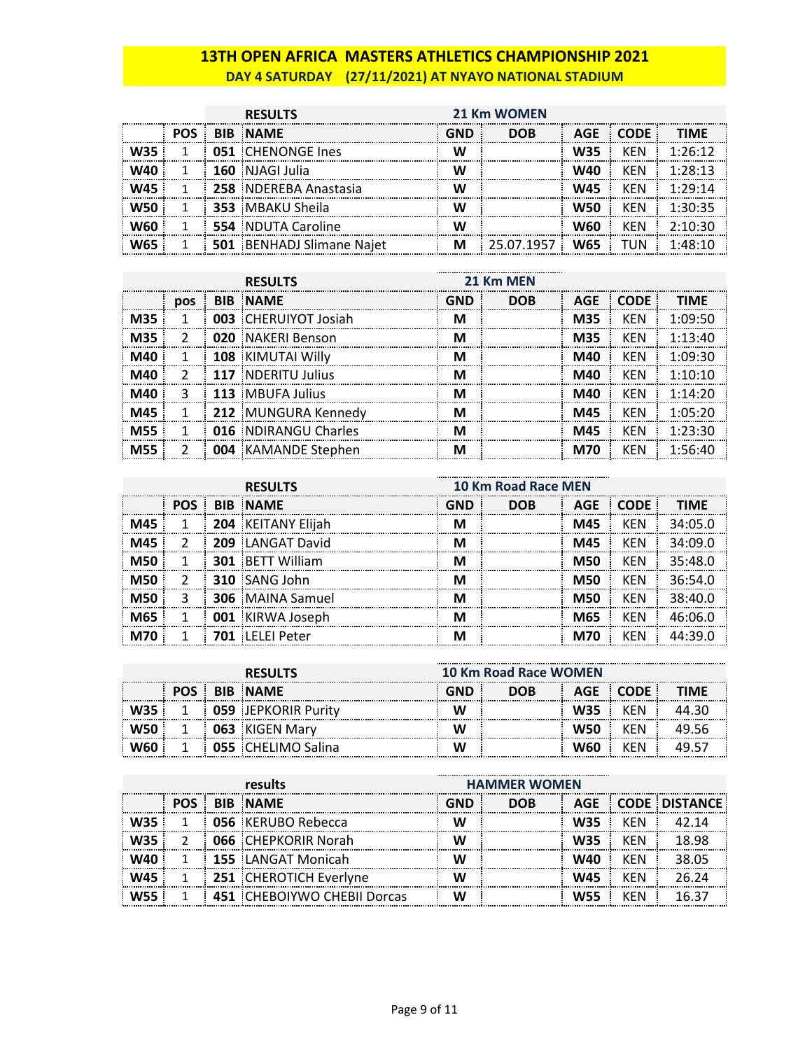### **13TH OPEN AFRICA MASTERS ATHLETICS CHAMPIONSHIP 2021 DAY 4 SATURDAY (27/11/2021) AT NYAYO NATIONAL STADIUM**

|            |            | <b>RESULTS</b>                   | 21 Km WOMEN |            |            |             |             |
|------------|------------|----------------------------------|-------------|------------|------------|-------------|-------------|
|            | <b>POS</b> | <b>BIB NAME</b>                  | <b>GND</b>  | <b>DOB</b> | <b>AGE</b> | <b>CODE</b> | <b>TIMF</b> |
| <b>W35</b> |            | 051 CHENONGE Ines                |             |            | <b>W35</b> | KFN         | 1.26.12     |
| <b>W40</b> |            | 160 NJAGI Julia                  | W           |            | <b>W40</b> | <b>KFN</b>  | 1:28:13     |
| <b>W45</b> |            | 258 NDEREBA Anastasia            | W           |            | <b>W45</b> | KFN         | 1.29.14     |
| <b>W50</b> |            | 353 MBAKU Sheila                 |             |            | <b>W50</b> | <b>KEN</b>  | 1:30:35     |
| W60        |            | 554 NDUTA Caroline               |             |            | <b>W60</b> | <b>KEN</b>  | 2:10:30     |
| W65        |            | <b>501 BENHADJ Slimane Najet</b> | м           | 25.07.1957 | <b>W65</b> | TUN         | 1.48.10     |

|            |               | <b>RESULTS</b>              | 21 Km MEN |            |            |             |                 |
|------------|---------------|-----------------------------|-----------|------------|------------|-------------|-----------------|
|            | <b>DOS</b>    | <b>BIB NAME</b>             | GND       | <b>DOB</b> | <b>AGE</b> | <b>CODE</b> | <b>TIMF</b>     |
| <b>M35</b> |               | <b>003 CHERUIYOT Josiah</b> | м         |            | M35        | <b>KEN</b>  | 1:09:50         |
| <b>M35</b> | $\mathcal{P}$ | 020 NAKERI Benson           | м         |            | M35        | <b>KFN</b>  | $1.13 \cdot 40$ |
| M40        |               | 108 KIMUTAI Willy           |           |            | M40        | KFN         | 1∙∩9∙3∩         |
| M40        |               | 117 NDERITU Julius          | м         |            | M40        | KFN         | 1.10.10         |
| M40        | 3             | 113 MBUFA Julius            | м         |            | M40        | KEN         | 1.14.70         |
| M45        |               | 212 MUNGURA Kennedy         |           |            | M45        | KEN         | 1:05:20         |
| <b>M55</b> |               | <b>016 NDIRANGU Charles</b> |           |            | M45        | KFN         | 1.23.30         |
| M55        |               | <b>004</b> KAMANDE Stephen  | м         |            | M70        | KFN         | 1.56:10         |

|            |               | <b>RESULTS</b>          | 10 Km Road Race MEN |            |            |             |             |
|------------|---------------|-------------------------|---------------------|------------|------------|-------------|-------------|
|            | POS <b>F</b>  | <b>BIB NAME</b>         | GND                 | <b>DOB</b> | AGE        | <b>CODE</b> | <b>TIMF</b> |
| M45        |               | 204 KEITANY Elijah      |                     |            | M45        | <b>KFN</b>  | 34:05.0     |
| M45        | $\mathcal{P}$ | 209 LANGAT David        |                     |            | M45        | <b>KFN</b>  | 34:09.0     |
| <b>M50</b> |               | <b>301 BETT William</b> | м                   |            | <b>M50</b> | <b>KFN</b>  | 35:48.0     |
| <b>M50</b> | $\mathcal{P}$ | 310 SANG John           | M                   |            | <b>M50</b> | <b>KFN</b>  | 36:54.0     |
| M50        | 3             | <b>306</b> MAINA Samuel |                     |            | <b>M50</b> | <b>KFN</b>  | 38:40.0     |
|            |               | 001 KIRWA Joseph        |                     |            | <b>M65</b> | <b>KFN</b>  | ⊿6∙∩6 ∩     |
|            |               | <b>IFLEI Peter</b>      |                     |            | M70        | KFN         |             |

| <b>RESULTS</b> |  |                       |  | <b>10 Km Road Race WOMEN</b> |            |        |  |  |  |
|----------------|--|-----------------------|--|------------------------------|------------|--------|--|--|--|
|                |  | <b>BIB NAME</b>       |  | DOB                          | AGE        | – CODF |  |  |  |
|                |  | 059 : IEPKORIR Purity |  |                              | W35        |        |  |  |  |
|                |  | 063 KIGEN Marv        |  |                              | <b>W50</b> | (FN    |  |  |  |
|                |  | 055 : CHELIMO Salina  |  |                              | W60        | ′FN    |  |  |  |

|       | results                            | <b>HAMMER WOMEN</b> |            |            |            |                   |  |
|-------|------------------------------------|---------------------|------------|------------|------------|-------------------|--|
| POS : | <b>BIB NAME</b>                    | GND                 | <b>DOB</b> |            |            | AGE CODE DISTANCE |  |
|       | <b>056</b> KERUBO Rebecca          |                     |            | <b>W35</b> | KFN        |                   |  |
|       | <b>066 CHEPKORIR Norah</b>         |                     |            | <b>W35</b> | KEN        | 18.98             |  |
|       | <b>155</b> LANGAT Monicah          |                     |            | W40        | <b>KEN</b> | 38.05             |  |
|       | 251 CHEROTICH Everlyne             |                     |            | W45        | <b>KEN</b> | 26 24             |  |
|       | <b>451 CHEBOIYWO CHEBII Dorcas</b> |                     |            | <b>W55</b> | KFN        | 16.31             |  |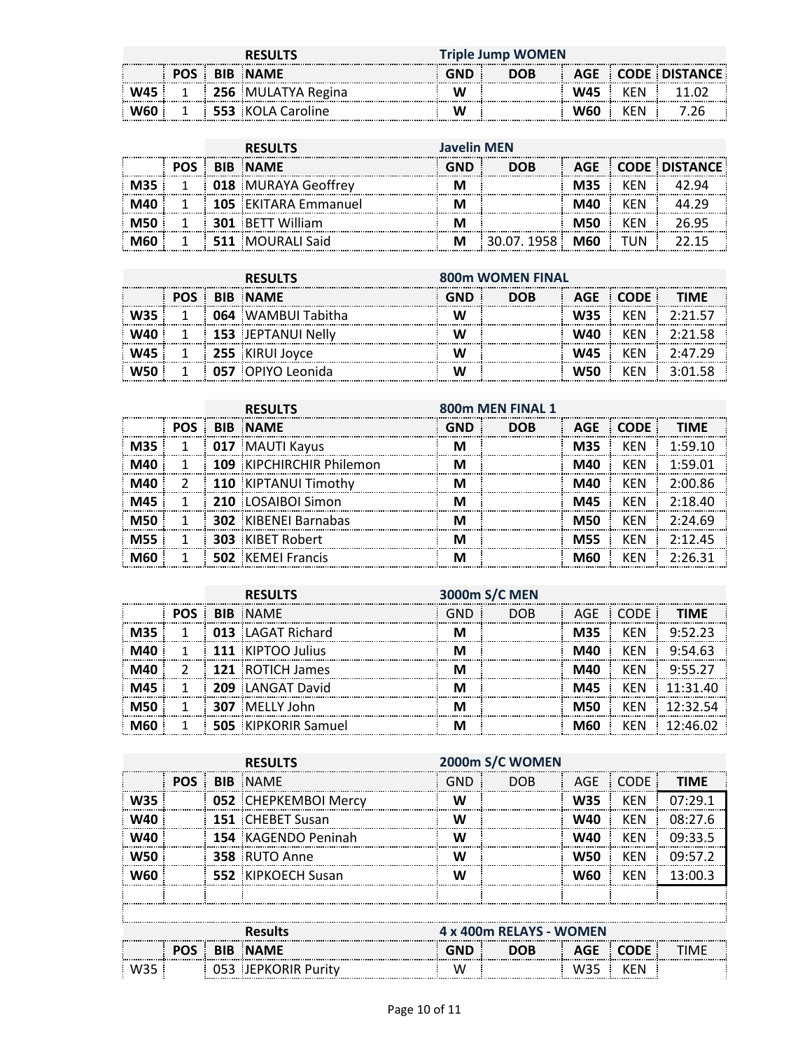|       | <b>RESULTS</b> |  |                          | Triple Jump WOMEN |            |            |     |                   |
|-------|----------------|--|--------------------------|-------------------|------------|------------|-----|-------------------|
|       |                |  | <b>POS BIB NAME</b>      | <b>GND</b>        | <b>DOB</b> |            |     | AGE CODE DISTANCE |
| W45 : |                |  | 256 MULATYA Regina       | W                 |            | <b>W45</b> | KFN |                   |
|       |                |  | <b>553</b> KOLA Caroline | W                 |            | w60        | KFN |                   |

| <b>RESULTS</b> |  |                         | <b>Javelin MEN</b> |            |            |     |                   |  |
|----------------|--|-------------------------|--------------------|------------|------------|-----|-------------------|--|
|                |  | <b>BIB NAME</b>         | GND                | <b>DOB</b> |            |     | AGE CODE DISTANCE |  |
|                |  | 018 MURAYA Geoffrey     |                    |            | M35        | KFN |                   |  |
|                |  | 105 EKITARA Emmanuel    |                    |            | M40        | KFN |                   |  |
|                |  | <b>301 BETT William</b> |                    |            | M50        | KFN | 26 95             |  |
|                |  | 511 MOURALI Said        |                    | 30.07.1958 | <b>M60</b> | TUN |                   |  |

| <b>RESULTS</b> |            |  | <b>800m WOMEN FINAL</b>   |            |            |     |           |         |
|----------------|------------|--|---------------------------|------------|------------|-----|-----------|---------|
|                | <b>POS</b> |  | <b>BIB NAME</b>           | <b>GND</b> | <b>DOB</b> |     | AGE CODE: | TIMF    |
|                |            |  | <b>064</b> WAMBUI Tabitha |            |            | W35 | KFN       | つ・つ1 に  |
|                |            |  | 153 JEPTANUI Nelly        |            |            | W40 | KFN       | つ・つ1 58 |
|                |            |  | 255 KIRUI Jovce           |            |            | W45 | KFN       |         |
|                |            |  | 057 OPIYO Leonida         |            |            | W50 | KFN       |         |

|     |            | 800m MEN FINAL 1<br><b>RESULTS</b> |                          |     |            |            |             |             |
|-----|------------|------------------------------------|--------------------------|-----|------------|------------|-------------|-------------|
|     | <b>POS</b> |                                    | <b>BIB NAME</b>          | GND | <b>DOB</b> | <b>AGE</b> | <b>CODE</b> | <b>TIMF</b> |
|     |            |                                    | 017 MAUTI Kayus          |     |            | <b>M35</b> | KFN         | 1.5910      |
|     |            |                                    | 109 KIPCHIRCHIR Philemon | м   |            | M40        | KFN         | 1:59.01     |
| M40 |            |                                    | 110 KIPTANUI Timothy     | м   |            | M40        | <b>KFN</b>  | 2:00.86     |
| M45 |            |                                    | 210 LOSAIBOI Simon       |     |            | M45        | KFN         | 2:18.40     |
| M50 |            |                                    | 302 KIBENEI Barnabas     |     |            | M50        | <b>KFN</b>  | 2:24.69     |
| M55 |            |                                    | <b>303 KIBET Robert</b>  |     |            | <b>M55</b> | <b>KFN</b>  | 2.1245      |
|     |            |                                    | <b>502</b> KEMEL Francis |     |            | ៳ឥល        | <b>KFN</b>  | 2.26.31     |

|     | 3000m S/C MEN<br><b>RESULTS</b> |  |                            |     |            |            |            |              |
|-----|---------------------------------|--|----------------------------|-----|------------|------------|------------|--------------|
|     | <b>POS</b>                      |  | <b>BIB NAME</b>            | GND | <b>DOB</b> | AGE        | CODE       | <b>TIMF</b>  |
| M35 |                                 |  | 013 LAGAT Richard          |     |            | <b>M35</b> | <b>KFN</b> | 9:52.23      |
|     |                                 |  | 111 KIPTOO Julius          |     |            | M40        | KFN        | 9.5463       |
| M40 |                                 |  | 121 ROTICH James           |     |            | M40        | KFN        | 9:55.27      |
|     |                                 |  | 209 LANGAT David           |     |            | M45        | KFN        | $11.31$ $40$ |
|     |                                 |  | 307 MELLY John             |     |            | M50        | KFN        | 12.325A      |
|     |                                 |  | <b>505 KIPKORIR Samuel</b> |     |            | M60        | KFN        | 12:46.02     |

|            | <b>RESULTS</b> |  |                         | 2000m S/C WOMEN |            |            |             |             |  |
|------------|----------------|--|-------------------------|-----------------|------------|------------|-------------|-------------|--|
|            | <b>POS</b>     |  | <b>BIB NAME</b>         | GND             | <b>DOB</b> | <b>AGE</b> | <b>CODE</b> | <b>TIMF</b> |  |
| <b>W35</b> |                |  | 052 CHEPKEMBOI Mercy    | w               |            | <b>W35</b> | <b>KFN</b>  | 07.291      |  |
| W40        |                |  | <b>151 CHEBET Susan</b> | w               |            | W40        | <b>KEN</b>  | 08:276      |  |
| W40        |                |  | 154 KAGENDO Peninah     | W               |            | W40        | <b>KEN</b>  | 09:33.5     |  |
| W50        |                |  | 358 RUTO Anne           | w               |            | <b>W50</b> | KFN         | 09:57.2     |  |
| W60        |                |  | 552 KIPKOECH Susan      |                 |            | W60        | <b>KFN</b>  | 13:00.3     |  |
|            |                |  |                         |                 |            |            |             |             |  |
|            |                |  |                         |                 |            |            |             |             |  |

| Results<br>------------------<br>---------------------------- |            |  | 4 x 400m RELAYS - WOMEN<br>. |     |     |      |          |  |
|---------------------------------------------------------------|------------|--|------------------------------|-----|-----|------|----------|--|
|                                                               | <b>POS</b> |  | <b>BIB NAME</b>              | GND | DOB |      | AGE CODE |  |
| W35                                                           |            |  | JEPKORIR Puritv              | w   |     | -W3. |          |  |